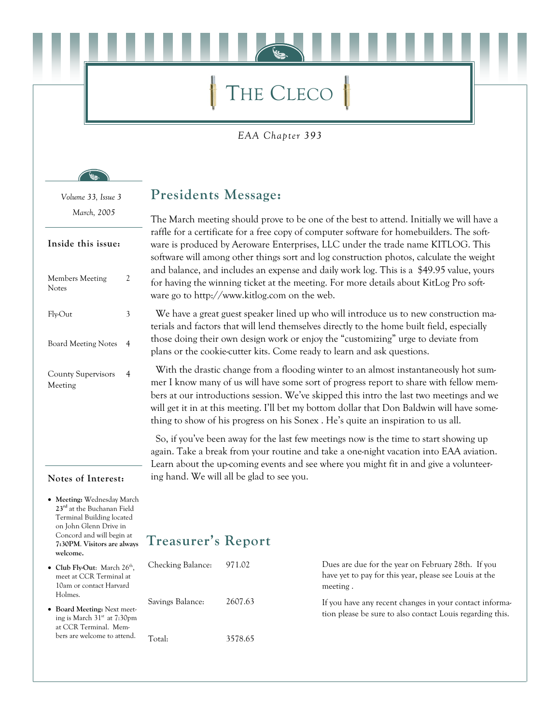# THE CLECO

EAA Chapter 393

Volume 33, Issue 3 March, 2005

#### Inside this issue:

| <b>Members Meeting</b><br>Notes      |   |
|--------------------------------------|---|
| Fly-Out                              |   |
| <b>Board Meeting Notes</b>           | 4 |
| <b>County Supervisors</b><br>Meeting |   |

#### Notes of Interest:

• Meeting: Wednesday March 23rd at the Buchanan Field **Terminal Building located** on John Glenn Drive in Concord and will begin at 7:30PM. Visitors are always welcome.

 $\bullet$  Club F

• Board

### **Presidents Message:**

The March meeting should prove to be one of the best to attend. Initially we will have a raffle for a certificate for a free copy of computer software for homebuilders. The software is produced by Aeroware Enterprises, LLC under the trade name KITLOG. This software will among other things sort and log construction photos, calculate the weight and balance, and includes an expense and daily work log. This is a \$49.95 value, yours for having the winning ticket at the meeting. For more details about KitLog Pro software go to http://www.kitlog.com on the web.

We have a great guest speaker lined up who will introduce us to new construction materials and factors that will lend themselves directly to the home built field, especially those doing their own design work or enjoy the "customizing" urge to deviate from plans or the cookie-cutter kits. Come ready to learn and ask questions.

With the drastic change from a flooding winter to an almost instantaneously hot summer I know many of us will have some sort of progress report to share with fellow members at our introductions session. We've skipped this intro the last two meetings and we will get it in at this meeting. I'll bet my bottom dollar that Don Baldwin will have something to show of his progress on his Sonex. He's quite an inspiration to us all.

So, if you've been away for the last few meetings now is the time to start showing up again. Take a break from your routine and take a one-night vacation into EAA aviation. Learn about the up-coming events and see where you might fit in and give a volunteering hand. We will all be glad to see you.

### **Treasurer's Report**

| Club Fly-Out: March 26 <sup>th</sup> ,<br>meet at CCR Terminal at<br>10am or contact Harvard<br>Holmes.<br>Board Meeting: Next meet-<br>ing is March $31st$ at $7:30pm$<br>at CCR Terminal. Mem-<br>bers are welcome to attend. | Checking Balance: | 971.02  | Dues are due for the year on February 28th. If you<br>have yet to pay for this year, please see Louis at the<br>meeting. |
|---------------------------------------------------------------------------------------------------------------------------------------------------------------------------------------------------------------------------------|-------------------|---------|--------------------------------------------------------------------------------------------------------------------------|
|                                                                                                                                                                                                                                 | Savings Balance:  | 2607.63 | If you have any recent changes in your contact informa-<br>tion please be sure to also contact Louis regarding this.     |
|                                                                                                                                                                                                                                 | Total:            | 3578.65 |                                                                                                                          |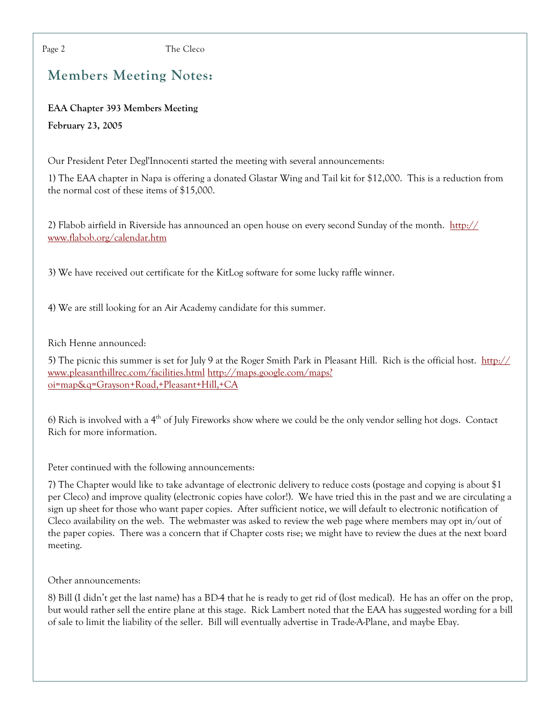Page 2

The Cleco

### **Members Meeting Notes:**

**EAA Chapter 393 Members Meeting** February 23, 2005

Our President Peter Degl'Innocenti started the meeting with several announcements:

1) The EAA chapter in Napa is offering a donated Glastar Wing and Tail kit for \$12,000. This is a reduction from the normal cost of these items of \$15,000.

2) Flabob airfield in Riverside has announced an open house on every second Sunday of the month. http:// www.flabob.org/calendar.htm

3) We have received out certificate for the KitLog software for some lucky raffle winner.

4) We are still looking for an Air Academy candidate for this summer.

Rich Henne announced:

5) The picnic this summer is set for July 9 at the Roger Smith Park in Pleasant Hill. Rich is the official host. http:// www.pleasanthillrec.com/facilities.html http://maps.google.com/maps? oi=map&q=Grayson+Road,+Pleasant+Hill,+CA

6) Rich is involved with a  $4<sup>th</sup>$  of July Fireworks show where we could be the only vendor selling hot dogs. Contact Rich for more information.

Peter continued with the following announcements:

7) The Chapter would like to take advantage of electronic delivery to reduce costs (postage and copying is about \$1 per Cleco) and improve quality (electronic copies have color!). We have tried this in the past and we are circulating a sign up sheet for those who want paper copies. After sufficient notice, we will default to electronic notification of Cleco availability on the web. The webmaster was asked to review the web page where members may opt in/out of the paper copies. There was a concern that if Chapter costs rise; we might have to review the dues at the next board meeting.

Other announcements:

8) Bill (I didn't get the last name) has a BD-4 that he is ready to get rid of (lost medical). He has an offer on the prop, but would rather sell the entire plane at this stage. Rick Lambert noted that the EAA has suggested wording for a bill of sale to limit the liability of the seller. Bill will eventually advertise in Trade-A-Plane, and maybe Ebay.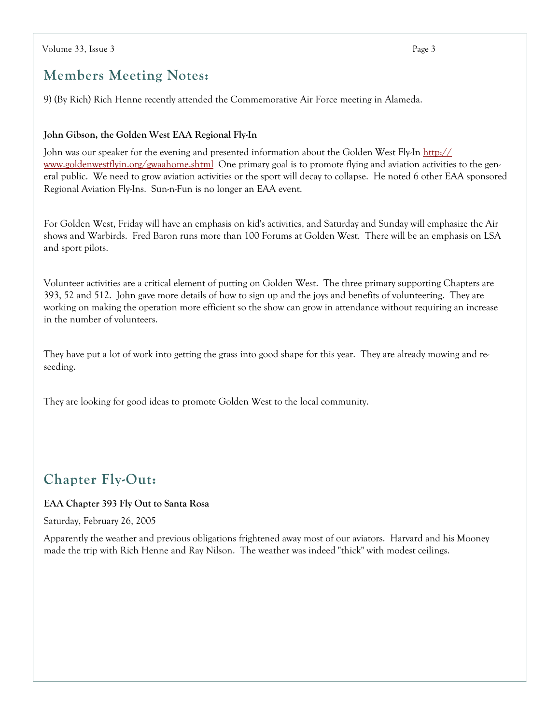### **Members Meeting Notes:**

9) (By Rich) Rich Henne recently attended the Commemorative Air Force meeting in Alameda.

#### John Gibson, the Golden West EAA Regional Fly-In

John was our speaker for the evening and presented information about the Golden West Fly-In http:// www.goldenwestflyin.org/gwaahome.shtml One primary goal is to promote flying and aviation activities to the general public. We need to grow aviation activities or the sport will decay to collapse. He noted 6 other EAA sponsored Regional Aviation Fly-Ins. Sun-n-Fun is no longer an EAA event.

For Golden West, Friday will have an emphasis on kid's activities, and Saturday and Sunday will emphasize the Air shows and Warbirds. Fred Baron runs more than 100 Forums at Golden West. There will be an emphasis on LSA and sport pilots.

Volunteer activities are a critical element of putting on Golden West. The three primary supporting Chapters are 393, 52 and 512. John gave more details of how to sign up and the joys and benefits of volunteering. They are working on making the operation more efficient so the show can grow in attendance without requiring an increase in the number of volunteers.

They have put a lot of work into getting the grass into good shape for this year. They are already mowing and reseeding.

They are looking for good ideas to promote Golden West to the local community.

### **Chapter Fly-Out:**

#### EAA Chapter 393 Fly Out to Santa Rosa

Saturday, February 26, 2005

Apparently the weather and previous obligations frightened away most of our aviators. Harvard and his Mooney made the trip with Rich Henne and Ray Nilson. The weather was indeed "thick" with modest ceilings.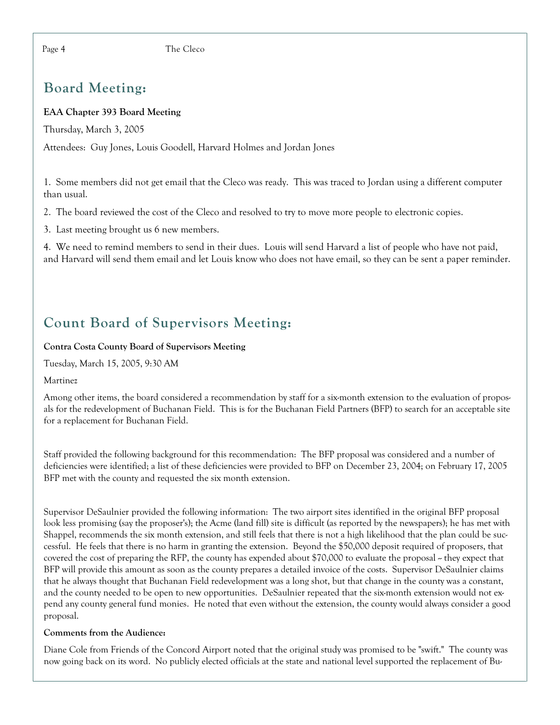## **Board Meeting:**

### **EAA Chapter 393 Board Meeting**

Thursday, March 3, 2005

Attendees: Guy Jones, Louis Goodell, Harvard Holmes and Jordan Jones

1. Some members did not get email that the Cleco was ready. This was traced to Jordan using a different computer than usual.

2. The board reviewed the cost of the Cleco and resolved to try to move more people to electronic copies.

3. Last meeting brought us 6 new members.

4. We need to remind members to send in their dues. Louis will send Harvard a list of people who have not paid, and Harvard will send them email and let Louis know who does not have email, so they can be sent a paper reminder.

# **Count Board of Supervisors Meeting:**

#### **Contra Costa County Board of Supervisors Meeting**

Tuesday, March 15, 2005, 9:30 AM

Martinez

Among other items, the board considered a recommendation by staff for a six-month extension to the evaluation of proposals for the redevelopment of Buchanan Field. This is for the Buchanan Field Partners (BFP) to search for an acceptable site for a replacement for Buchanan Field.

Staff provided the following background for this recommendation: The BFP proposal was considered and a number of deficiencies were identified; a list of these deficiencies were provided to BFP on December 23, 2004; on February 17, 2005 BFP met with the county and requested the six month extension.

Supervisor DeSaulnier provided the following information: The two airport sites identified in the original BFP proposal look less promising (say the proposer's); the Acme (land fill) site is difficult (as reported by the newspapers); he has met with Shappel, recommends the six month extension, and still feels that there is not a high likelihood that the plan could be successful. He feels that there is no harm in granting the extension. Beyond the \$50,000 deposit required of proposers, that covered the cost of preparing the RFP, the county has expended about \$70,000 to evaluate the proposal  $\sim$  they expect that BFP will provide this amount as soon as the county prepares a detailed invoice of the costs. Supervisor DeSaulnier claims that he always thought that Buchanan Field redevelopment was a long shot, but that change in the county was a constant, and the county needed to be open to new opportunities. DeSaulnier repeated that the six-month extension would not expend any county general fund monies. He noted that even without the extension, the county would always consider a good proposal.

#### Comments from the Audience:

Diane Cole from Friends of the Concord Airport noted that the original study was promised to be "swift." The county was now going back on its word. No publicly elected officials at the state and national level supported the replacement of Bu-

Page 4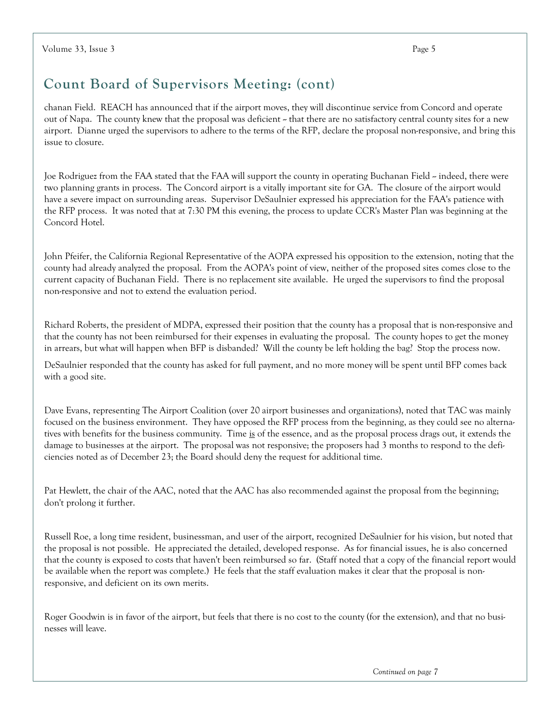## Count Board of Supervisors Meeting: (cont)

chanan Field. REACH has announced that if the airport moves, they will discontinue service from Concord and operate out of Napa. The county knew that the proposal was deficient ~ that there are no satisfactory central county sites for a new airport. Dianne urged the supervisors to adhere to the terms of the RFP, declare the proposal non-responsive, and bring this issue to closure.

Joe Rodriguez from the FAA stated that the FAA will support the county in operating Buchanan Field ~ indeed, there were two planning grants in process. The Concord airport is a vitally important site for GA. The closure of the airport would have a severe impact on surrounding areas. Supervisor DeSaulnier expressed his appreciation for the FAA's patience with the RFP process. It was noted that at 7:30 PM this evening, the process to update CCR's Master Plan was beginning at the Concord Hotel.

John Pfeifer, the California Regional Representative of the AOPA expressed his opposition to the extension, noting that the county had already analyzed the proposal. From the AOPA's point of view, neither of the proposed sites comes close to the current capacity of Buchanan Field. There is no replacement site available. He urged the supervisors to find the proposal non-responsive and not to extend the evaluation period.

Richard Roberts, the president of MDPA, expressed their position that the county has a proposal that is non-responsive and that the county has not been reimbursed for their expenses in evaluating the proposal. The county hopes to get the money in arrears, but what will happen when BFP is disbanded? Will the county be left holding the bag? Stop the process now.

DeSaulnier responded that the county has asked for full payment, and no more money will be spent until BFP comes back with a good site.

Dave Evans, representing The Airport Coalition (over 20 airport businesses and organizations), noted that TAC was mainly focused on the business environment. They have opposed the RFP process from the beginning, as they could see no alternatives with benefits for the business community. Time is of the essence, and as the proposal process drags out, it extends the damage to businesses at the airport. The proposal was not responsive; the proposers had 3 months to respond to the deficiencies noted as of December 23; the Board should deny the request for additional time.

Pat Hewlett, the chair of the AAC, noted that the AAC has also recommended against the proposal from the beginning; don't prolong it further.

Russell Roe, a long time resident, businessman, and user of the airport, recognized DeSaulnier for his vision, but noted that the proposal is not possible. He appreciated the detailed, developed response. As for financial issues, he is also concerned that the county is exposed to costs that haven't been reimbursed so far. (Staff noted that a copy of the financial report would be available when the report was complete.) He feels that the staff evaluation makes it clear that the proposal is nonresponsive, and deficient on its own merits.

Roger Goodwin is in favor of the airport, but feels that there is no cost to the county (for the extension), and that no businesses will leave.

Continued on page 7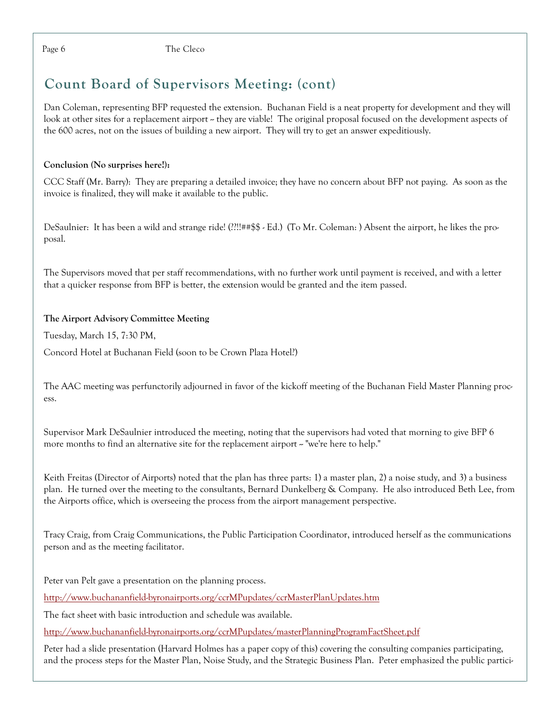The Cleco

# **Count Board of Supervisors Meeting: (cont)**

Dan Coleman, representing BFP requested the extension. Buchanan Field is a neat property for development and they will look at other sites for a replacement airport – they are viable! The original proposal focused on the development aspects of the 600 acres, not on the issues of building a new airport. They will try to get an answer expeditiously.

### Conclusion (No surprises here!):

CCC Staff (Mr. Barry): They are preparing a detailed invoice; they have no concern about BFP not paying. As soon as the invoice is finalized, they will make it available to the public.

DeSaulnier: It has been a wild and strange ride! (??!!##\$\$ - Ed.) (To Mr. Coleman: ) Absent the airport, he likes the proposal.

The Supervisors moved that per staff recommendations, with no further work until payment is received, and with a letter that a quicker response from BFP is better, the extension would be granted and the item passed.

### The Airport Advisory Committee Meeting

Tuesday, March 15, 7:30 PM,

Concord Hotel at Buchanan Field (soon to be Crown Plaza Hotel?)

The AAC meeting was perfunctorily adjourned in favor of the kickoff meeting of the Buchanan Field Master Planning process.

Supervisor Mark DeSaulnier introduced the meeting, noting that the supervisors had voted that morning to give BFP 6 more months to find an alternative site for the replacement airport ~ "we're here to help."

Keith Freitas (Director of Airports) noted that the plan has three parts: 1) a master plan, 2) a noise study, and 3) a business plan. He turned over the meeting to the consultants, Bernard Dunkelberg & Company. He also introduced Beth Lee, from the Airports office, which is overseeing the process from the airport management perspective.

Tracy Craig, from Craig Communications, the Public Participation Coordinator, introduced herself as the communications person and as the meeting facilitator.

Peter van Pelt gave a presentation on the planning process.

http://www.buchananfield-byronairports.org/ccrMPupdates/ccrMasterPlanUpdates.htm

The fact sheet with basic introduction and schedule was available.

http://www.buchananfield-byronairports.org/ccrMPupdates/masterPlanningProgramFactSheet.pdf

Peter had a slide presentation (Harvard Holmes has a paper copy of this) covering the consulting companies participating, and the process steps for the Master Plan, Noise Study, and the Strategic Business Plan. Peter emphasized the public partici-

Page 6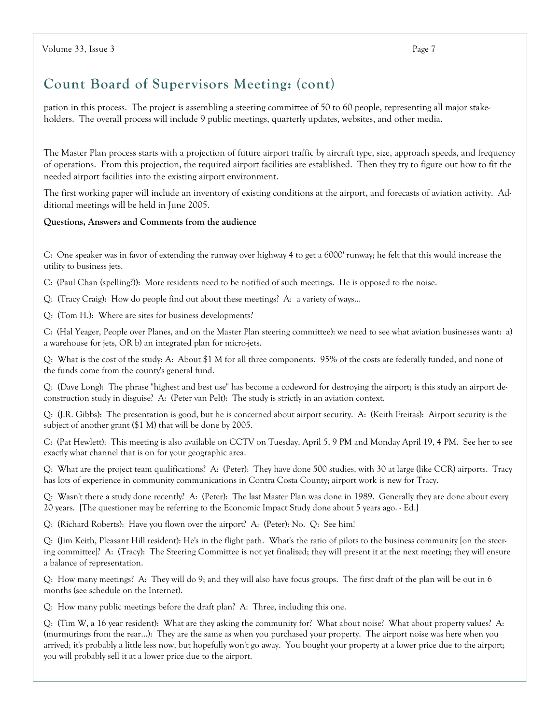# Count Board of Supervisors Meeting: (cont)

pation in this process. The project is assembling a steering committee of 50 to 60 people, representing all major stakeholders. The overall process will include 9 public meetings, quarterly updates, websites, and other media.

The Master Plan process starts with a projection of future airport traffic by aircraft type, size, approach speeds, and frequency of operations. From this projection, the required airport facilities are established. Then they try to figure out how to fit the needed airport facilities into the existing airport environment.

The first working paper will include an inventory of existing conditions at the airport, and forecasts of aviation activity. Additional meetings will be held in June 2005.

#### Questions, Answers and Comments from the audience

C: One speaker was in favor of extending the runway over highway 4 to get a 6000' runway; he felt that this would increase the utility to business jets.

C: (Paul Chan (spelling?)): More residents need to be notified of such meetings. He is opposed to the noise.

Q: (Tracy Craig): How do people find out about these meetings? A: a variety of ways...

Q: (Tom H.): Where are sites for business developments?

C: (Hal Yeager, People over Planes, and on the Master Plan steering committee): we need to see what aviation businesses want: a) a warehouse for jets, OR b) an integrated plan for micro-jets.

Q: What is the cost of the study: A: About \$1 M for all three components. 95% of the costs are federally funded, and none of the funds come from the county's general fund.

Q: (Dave Long): The phrase "highest and best use" has become a codeword for destroying the airport; is this study an airport deconstruction study in disguise? A: (Peter van Pelt): The study is strictly in an aviation context.

Q: (J.R. Gibbs): The presentation is good, but he is concerned about airport security. A: (Keith Freitas): Airport security is the subject of another grant (\$1 M) that will be done by 2005.

C: (Pat Hewlett): This meeting is also available on CCTV on Tuesday, April 5, 9 PM and Monday April 19, 4 PM. See her to see exactly what channel that is on for your geographic area.

Q: What are the project team qualifications? A: (Peter): They have done 500 studies, with 30 at large (like CCR) airports. Tracy has lots of experience in community communications in Contra Costa County; airport work is new for Tracy.

Q: Wasn't there a study done recently? A: (Peter): The last Master Plan was done in 1989. Generally they are done about every 20 years. [The questioner may be referring to the Economic Impact Study done about 5 years ago. - Ed.]

Q: (Richard Roberts): Have you flown over the airport? A: (Peter): No. Q: See him!

Q: (Jim Keith, Pleasant Hill resident): He's in the flight path. What's the ratio of pilots to the business community [on the steering committee]? A: (Tracy): The Steering Committee is not yet finalized; they will present it at the next meeting; they will ensure a balance of representation.

Q: How many meetings? A: They will do 9; and they will also have focus groups. The first draft of the plan will be out in 6 months (see schedule on the Internet).

Q: How many public meetings before the draft plan? A: Three, including this one.

Q: (Tim W, a 16 year resident): What are they asking the community for? What about noise? What about property values? A: (murmurings from the rear...): They are the same as when you purchased your property. The airport noise was here when you arrived; it's probably a little less now, but hopefully won't go away. You bought your property at a lower price due to the airport; you will probably sell it at a lower price due to the airport.